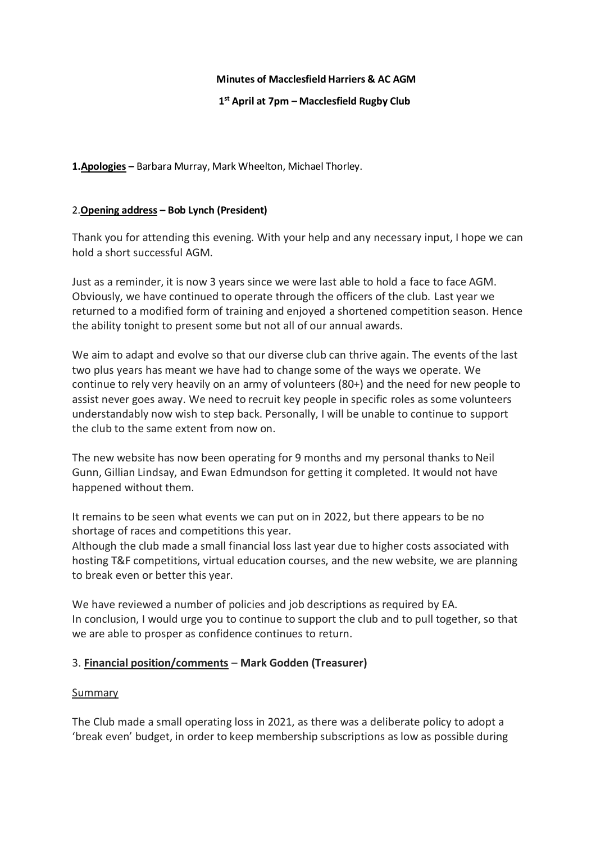## **Minutes of Macclesfield Harriers & AC AGM**

## **1 st April at 7pm – Macclesfield Rugby Club**

**1.Apologies –** Barbara Murray, Mark Wheelton, Michael Thorley.

## 2.**Opening address – Bob Lynch (President)**

Thank you for attending this evening. With your help and any necessary input, I hope we can hold a short successful AGM.

Just as a reminder, it is now 3 years since we were last able to hold a face to face AGM. Obviously, we have continued to operate through the officers of the club. Last year we returned to a modified form of training and enjoyed a shortened competition season. Hence the ability tonight to present some but not all of our annual awards.

We aim to adapt and evolve so that our diverse club can thrive again. The events of the last two plus years has meant we have had to change some of the ways we operate. We continue to rely very heavily on an army of volunteers (80+) and the need for new people to assist never goes away. We need to recruit key people in specific roles as some volunteers understandably now wish to step back. Personally, I will be unable to continue to support the club to the same extent from now on.

The new website has now been operating for 9 months and my personal thanks to Neil Gunn, Gillian Lindsay, and Ewan Edmundson for getting it completed. It would not have happened without them.

It remains to be seen what events we can put on in 2022, but there appears to be no shortage of races and competitions this year.

Although the club made a small financial loss last year due to higher costs associated with hosting T&F competitions, virtual education courses, and the new website, we are planning to break even or better this year.

We have reviewed a number of policies and job descriptions as required by EA. In conclusion, I would urge you to continue to support the club and to pull together, so that we are able to prosper as confidence continues to return.

## 3. **Financial position/comments** – **Mark Godden (Treasurer)**

#### **Summary**

The Club made a small operating loss in 2021, as there was a deliberate policy to adopt a 'break even' budget, in order to keep membership subscriptions as low as possible during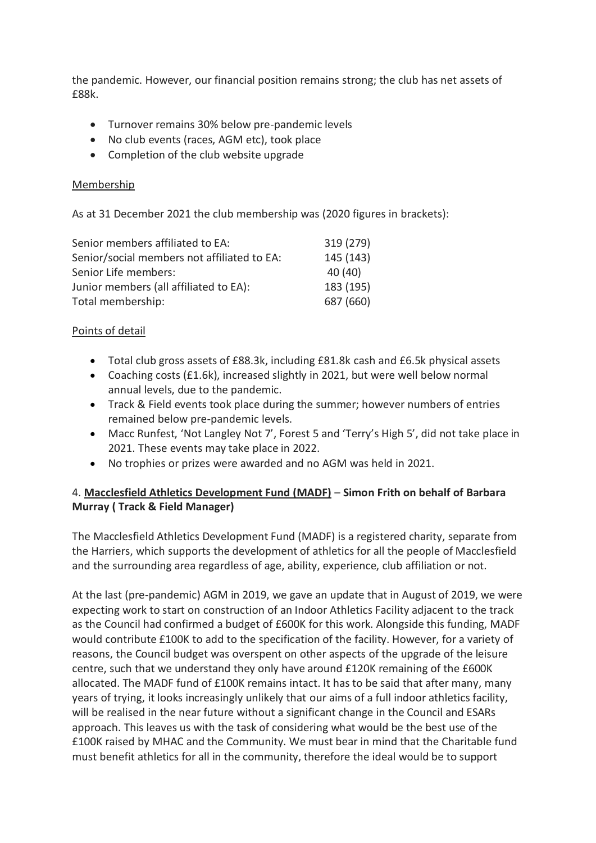the pandemic. However, our financial position remains strong; the club has net assets of £88k.

- Turnover remains 30% below pre-pandemic levels
- No club events (races, AGM etc), took place
- Completion of the club website upgrade

## Membership

As at 31 December 2021 the club membership was (2020 figures in brackets):

| Senior members affiliated to EA:            | 319 (279) |
|---------------------------------------------|-----------|
| Senior/social members not affiliated to EA: | 145 (143) |
| Senior Life members:                        | 40 (40)   |
| Junior members (all affiliated to EA):      | 183 (195) |
| Total membership:                           | 687 (660) |

## Points of detail

- Total club gross assets of £88.3k, including £81.8k cash and £6.5k physical assets
- Coaching costs (£1.6k), increased slightly in 2021, but were well below normal annual levels, due to the pandemic.
- Track & Field events took place during the summer; however numbers of entries remained below pre-pandemic levels.
- Macc Runfest, 'Not Langley Not 7', Forest 5 and 'Terry's High 5', did not take place in 2021. These events may take place in 2022.
- No trophies or prizes were awarded and no AGM was held in 2021.

# 4. **Macclesfield Athletics Development Fund (MADF)** – **Simon Frith on behalf of Barbara Murray ( Track & Field Manager)**

The Macclesfield Athletics Development Fund (MADF) is a registered charity, separate from the Harriers, which supports the development of athletics for all the people of Macclesfield and the surrounding area regardless of age, ability, experience, club affiliation or not.

At the last (pre-pandemic) AGM in 2019, we gave an update that in August of 2019, we were expecting work to start on construction of an Indoor Athletics Facility adjacent to the track as the Council had confirmed a budget of £600K for this work. Alongside this funding, MADF would contribute £100K to add to the specification of the facility. However, for a variety of reasons, the Council budget was overspent on other aspects of the upgrade of the leisure centre, such that we understand they only have around £120K remaining of the £600K allocated. The MADF fund of £100K remains intact. It has to be said that after many, many years of trying, it looks increasingly unlikely that our aims of a full indoor athletics facility, will be realised in the near future without a significant change in the Council and ESARs approach. This leaves us with the task of considering what would be the best use of the £100K raised by MHAC and the Community. We must bear in mind that the Charitable fund must benefit athletics for all in the community, therefore the ideal would be to support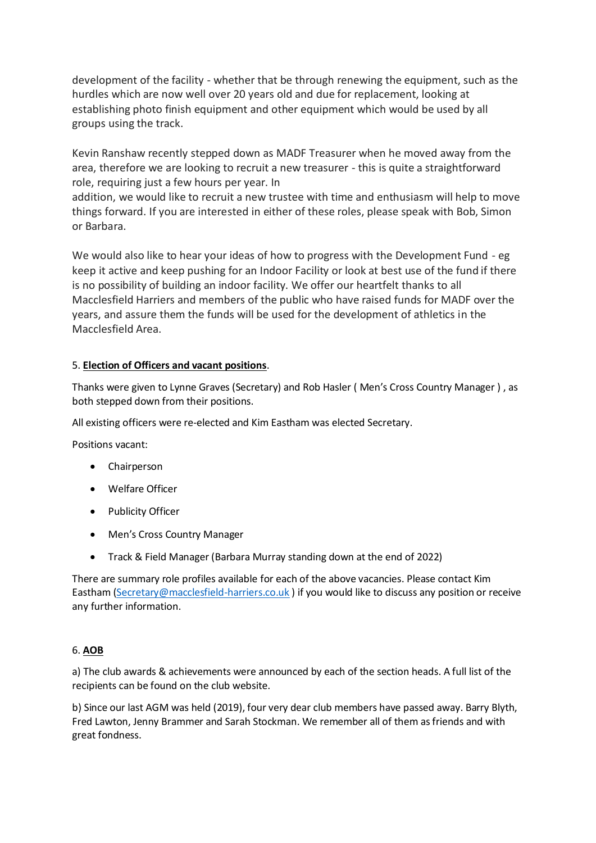development of the facility - whether that be through renewing the equipment, such as the hurdles which are now well over 20 years old and due for replacement, looking at establishing photo finish equipment and other equipment which would be used by all groups using the track.

Kevin Ranshaw recently stepped down as MADF Treasurer when he moved away from the area, therefore we are looking to recruit a new treasurer - this is quite a straightforward role, requiring just a few hours per year. In

addition, we would like to recruit a new trustee with time and enthusiasm will help to move things forward. If you are interested in either of these roles, please speak with Bob, Simon or Barbara.

We would also like to hear your ideas of how to progress with the Development Fund - eg keep it active and keep pushing for an Indoor Facility or look at best use of the fund if there is no possibility of building an indoor facility. We offer our heartfelt thanks to all Macclesfield Harriers and members of the public who have raised funds for MADF over the years, and assure them the funds will be used for the development of athletics in the Macclesfield Area.

## 5. **Election of Officers and vacant positions**.

Thanks were given to Lynne Graves (Secretary) and Rob Hasler ( Men's Cross Country Manager ) , as both stepped down from their positions.

All existing officers were re-elected and Kim Eastham was elected Secretary.

Positions vacant:

- Chairperson
- Welfare Officer
- Publicity Officer
- Men's Cross Country Manager
- Track & Field Manager (Barbara Murray standing down at the end of 2022)

There are summary role profiles available for each of the above vacancies. Please contact Kim Eastham [\(Secretary@macclesfield-harriers.co.uk](mailto:Secretary@macclesfield-harriers.co.uk)) if you would like to discuss any position or receive any further information.

## 6. **AOB**

a) The club awards & achievements were announced by each of the section heads. A full list of the recipients can be found on the club website.

b) Since our last AGM was held (2019), four very dear club members have passed away. Barry Blyth, Fred Lawton, Jenny Brammer and Sarah Stockman. We remember all of them as friends and with great fondness.